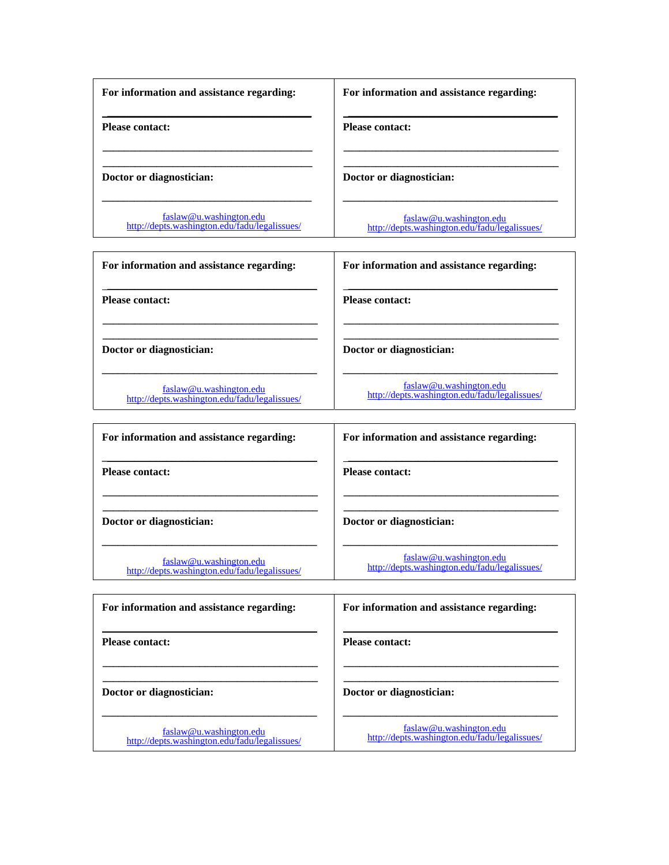| For information and assistance regarding:                                | For information and assistance regarding:                                |
|--------------------------------------------------------------------------|--------------------------------------------------------------------------|
| <b>Please contact:</b>                                                   | <b>Please contact:</b>                                                   |
|                                                                          |                                                                          |
| Doctor or diagnostician:                                                 | Doctor or diagnostician:                                                 |
|                                                                          |                                                                          |
| faslaw@u.washington.edu<br>http://depts.washington.edu/fadu/legalissues/ | faslaw@u.washington.edu<br>http://depts.washington.edu/fadu/legalissues/ |

| For information and assistance regarding:                                | For information and assistance regarding:                                |
|--------------------------------------------------------------------------|--------------------------------------------------------------------------|
| <b>Please contact:</b>                                                   | <b>Please contact:</b>                                                   |
| Doctor or diagnostician:                                                 | Doctor or diagnostician:                                                 |
| faslaw@u.washington.edu<br>http://depts.washington.edu/fadu/legalissues/ | faslaw@u.washington.edu<br>http://depts.washington.edu/fadu/legalissues/ |

| For information and assistance regarding:                                | For information and assistance regarding:                                |
|--------------------------------------------------------------------------|--------------------------------------------------------------------------|
| <b>Please contact:</b>                                                   | <b>Please contact:</b>                                                   |
| Doctor or diagnostician:                                                 | Doctor or diagnostician:                                                 |
| faslaw@u.washington.edu<br>http://depts.washington.edu/fadu/legalissues/ | faslaw@u.washington.edu<br>http://depts.washington.edu/fadu/legalissues/ |

| For information and assistance regarding: | For information and assistance regarding: |
|-------------------------------------------|-------------------------------------------|
| <b>Please contact:</b>                    | <b>Please contact:</b>                    |
| Doctor or diagnostician:                  | Doctor or diagnostician:                  |
|                                           | $faslaw@u$ washington edu                 |

faslaw@u.washington.edu http://depts.washington.edu/fadu/legalissues/

faslaw@u.washington.edu http://depts.washington.edu/fadu/legalissues/